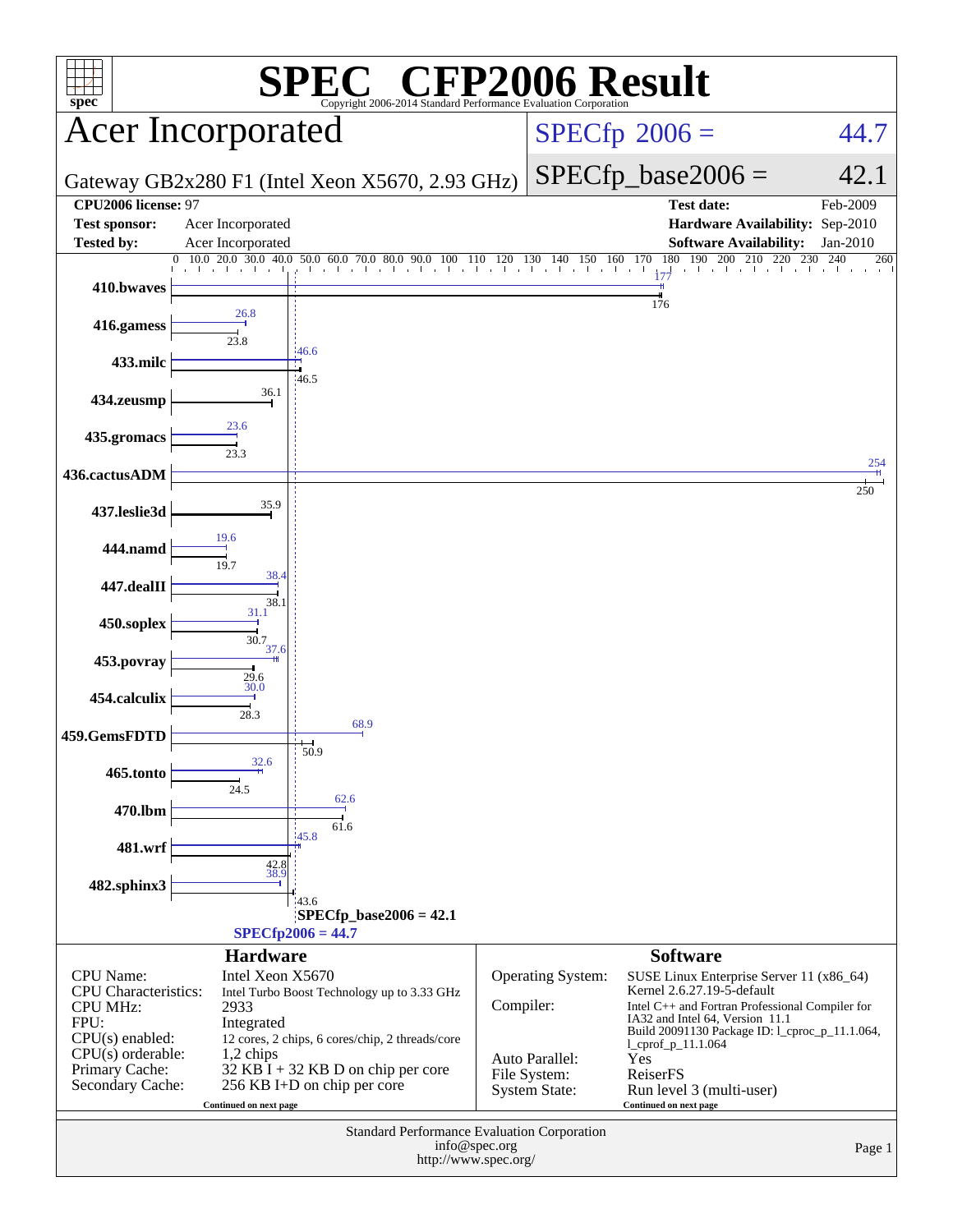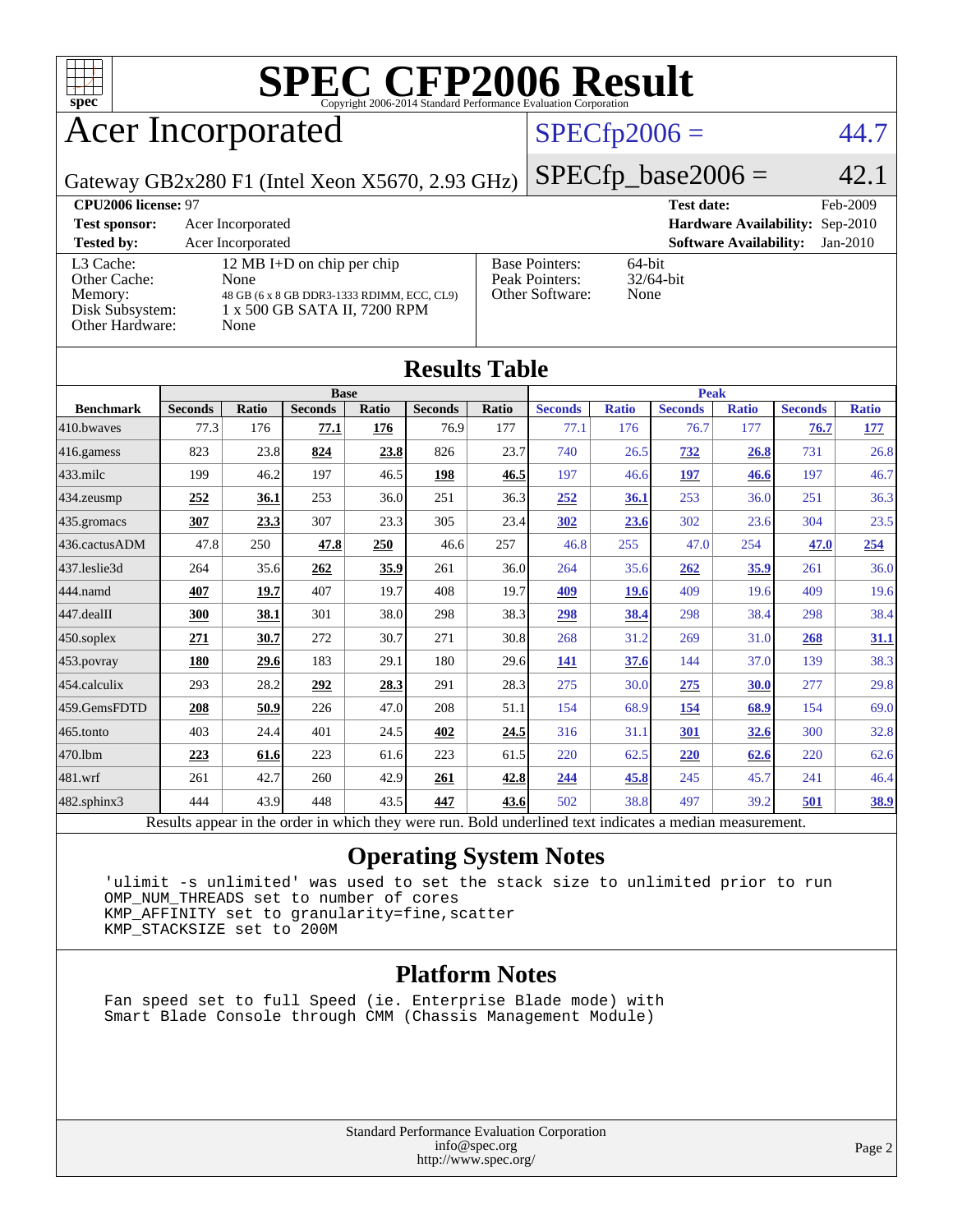

# Acer Incorporated

#### $SPECfp2006 = 44.7$  $SPECfp2006 = 44.7$

Gateway GB2x280 F1 (Intel Xeon X5670, 2.93 GHz)

 $SPECfp\_base2006 = 42.1$ 

| <b>CPU2006 license: 97</b>                                                 |                                                                                                                          |                                                            | <b>Test date:</b><br>Feb-2009               |
|----------------------------------------------------------------------------|--------------------------------------------------------------------------------------------------------------------------|------------------------------------------------------------|---------------------------------------------|
| <b>Test sponsor:</b>                                                       | Acer Incorporated                                                                                                        |                                                            | <b>Hardware Availability: Sep-2010</b>      |
| <b>Tested by:</b>                                                          | Acer Incorporated                                                                                                        |                                                            | <b>Software Availability:</b><br>$Jan-2010$ |
| L3 Cache:<br>Other Cache:<br>Memory:<br>Disk Subsystem:<br>Other Hardware: | 12 MB I+D on chip per chip<br>None<br>48 GB (6 x 8 GB DDR3-1333 RDIMM, ECC, CL9)<br>1 x 500 GB SATA II, 7200 RPM<br>None | <b>Base Pointers:</b><br>Peak Pointers:<br>Other Software: | $64$ -bit<br>$32/64$ -bit<br>None           |

**[Results Table](http://www.spec.org/auto/cpu2006/Docs/result-fields.html#ResultsTable)**

| Results Table          |                                                                                                          |       |                |       |                |             |                |              |                |              |                |              |
|------------------------|----------------------------------------------------------------------------------------------------------|-------|----------------|-------|----------------|-------------|----------------|--------------|----------------|--------------|----------------|--------------|
|                        | <b>Base</b>                                                                                              |       |                |       |                | <b>Peak</b> |                |              |                |              |                |              |
| <b>Benchmark</b>       | <b>Seconds</b>                                                                                           | Ratio | <b>Seconds</b> | Ratio | <b>Seconds</b> | Ratio       | <b>Seconds</b> | <b>Ratio</b> | <b>Seconds</b> | <b>Ratio</b> | <b>Seconds</b> | <b>Ratio</b> |
| $410$ .bwayes          | 77.3                                                                                                     | 176   | 77.1           | 176   | 76.9           | 177         | 77.1           | 176          | 76.7           | 177          | 76.7           | <u>177</u>   |
| $416$ .gamess          | 823                                                                                                      | 23.8  | 824            | 23.8  | 826            | 23.7        | 740            | 26.5         | 732            | 26.8         | 731            | 26.8         |
| 433.milc               | 199                                                                                                      | 46.2  | 197            | 46.5  | 198            | 46.5        | 197            | 46.6         | 197            | 46.6         | 197            | 46.7         |
| 434.zeusmp             | 252                                                                                                      | 36.1  | 253            | 36.0  | 251            | 36.3        | 252            | 36.1         | 253            | 36.0         | 251            | 36.3         |
| $435$ .gromacs         | 307                                                                                                      | 23.3  | 307            | 23.3  | 305            | 23.4        | 302            | 23.6         | 302            | 23.6         | 304            | 23.5         |
| 436.cactusADM          | 47.8                                                                                                     | 250   | 47.8           | 250   | 46.6           | 257         | 46.8           | 255          | 47.0           | 254          | 47.0           | 254          |
| 437.leslie3d           | 264                                                                                                      | 35.6  | 262            | 35.9  | 261            | 36.0        | 264            | 35.6         | 262            | 35.9         | 261            | 36.0         |
| 444.namd               | 407                                                                                                      | 19.7  | 407            | 19.7  | 408            | 19.7        | 409            | <b>19.6</b>  | 409            | 19.6         | 409            | 19.6         |
| $ 447 \text{.}$ dealII | 300                                                                                                      | 38.1  | 301            | 38.0  | 298            | 38.3        | 298            | 38.4         | 298            | 38.4         | 298            | 38.4         |
| $450$ .soplex          | 271                                                                                                      | 30.7  | 272            | 30.7  | 271            | 30.8        | 268            | 31.2         | 269            | 31.0         | 268            | 31.1         |
| $ 453$ . povray        | 180                                                                                                      | 29.6  | 183            | 29.1  | 180            | 29.6        | 141            | 37.6         | 144            | 37.0         | 139            | 38.3         |
| $ 454$ .calculix       | 293                                                                                                      | 28.2  | 292            | 28.3  | 291            | 28.3        | 275            | 30.0         | 275            | 30.0         | 277            | 29.8         |
| 459.GemsFDTD           | 208                                                                                                      | 50.9  | 226            | 47.0  | 208            | 51.1        | 154            | 68.9         | 154            | 68.9         | 154            | 69.0         |
| 465.tonto              | 403                                                                                                      | 24.4  | 401            | 24.5  | 402            | 24.5        | 316            | 31.1         | 301            | 32.6         | 300            | 32.8         |
| 470.1bm                | 223                                                                                                      | 61.6  | 223            | 61.6  | 223            | 61.5        | 220            | 62.5         | 220            | 62.6         | 220            | 62.6         |
| 481.wrf                | 261                                                                                                      | 42.7  | 260            | 42.9  | 261            | 42.8        | 244            | 45.8         | 245            | 45.7         | 241            | 46.4         |
| 482.sphinx3            | 444                                                                                                      | 43.9  | 448            | 43.5  | 447            | 43.6        | 502            | 38.8         | 497            | 39.2         | 501            | <u>38.9</u>  |
|                        | Results appear in the order in which they were run. Bold underlined text indicates a median measurement. |       |                |       |                |             |                |              |                |              |                |              |

#### **[Operating System Notes](http://www.spec.org/auto/cpu2006/Docs/result-fields.html#OperatingSystemNotes)**

 'ulimit -s unlimited' was used to set the stack size to unlimited prior to run OMP\_NUM\_THREADS set to number of cores KMP\_AFFINITY set to granularity=fine,scatter KMP\_STACKSIZE set to 200M

#### **[Platform Notes](http://www.spec.org/auto/cpu2006/Docs/result-fields.html#PlatformNotes)**

 Fan speed set to full Speed (ie. Enterprise Blade mode) with Smart Blade Console through CMM (Chassis Management Module)

> Standard Performance Evaluation Corporation [info@spec.org](mailto:info@spec.org) <http://www.spec.org/>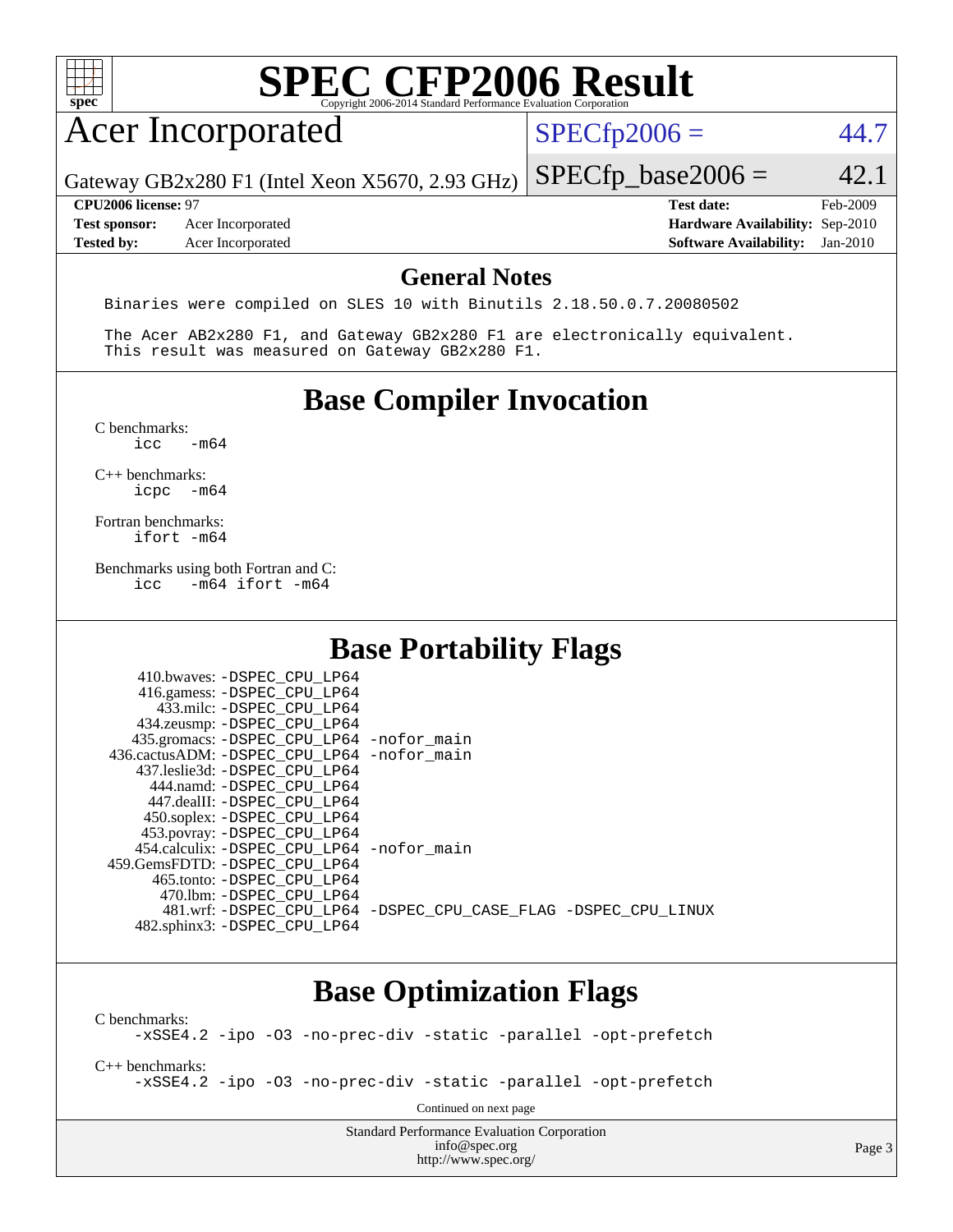## Acer Incorporated

 $SPECTp2006 = 44.7$ 

Gateway GB2x280 F1 (Intel Xeon X5670, 2.93 GHz)

**[Test sponsor:](http://www.spec.org/auto/cpu2006/Docs/result-fields.html#Testsponsor)** Acer Incorporated **[Hardware Availability:](http://www.spec.org/auto/cpu2006/Docs/result-fields.html#HardwareAvailability)** Sep-2010 **[Tested by:](http://www.spec.org/auto/cpu2006/Docs/result-fields.html#Testedby)** Acer Incorporated **[Software Availability:](http://www.spec.org/auto/cpu2006/Docs/result-fields.html#SoftwareAvailability)** Jan-2010

 $SPECTp\_base2006 = 42.1$ **[CPU2006 license:](http://www.spec.org/auto/cpu2006/Docs/result-fields.html#CPU2006license)** 97 **[Test date:](http://www.spec.org/auto/cpu2006/Docs/result-fields.html#Testdate)** Feb-2009

#### **[General Notes](http://www.spec.org/auto/cpu2006/Docs/result-fields.html#GeneralNotes)**

Binaries were compiled on SLES 10 with Binutils 2.18.50.0.7.20080502

 The Acer AB2x280 F1, and Gateway GB2x280 F1 are electronically equivalent. This result was measured on Gateway GB2x280 F1.

#### **[Base Compiler Invocation](http://www.spec.org/auto/cpu2006/Docs/result-fields.html#BaseCompilerInvocation)**

 $C$  benchmarks:<br>icc  $-m64$ 

[C++ benchmarks:](http://www.spec.org/auto/cpu2006/Docs/result-fields.html#CXXbenchmarks) [icpc -m64](http://www.spec.org/cpu2006/results/res2010q3/cpu2006-20100715-12382.flags.html#user_CXXbase_intel_icpc_64bit_bedb90c1146cab66620883ef4f41a67e)

[Fortran benchmarks](http://www.spec.org/auto/cpu2006/Docs/result-fields.html#Fortranbenchmarks): [ifort -m64](http://www.spec.org/cpu2006/results/res2010q3/cpu2006-20100715-12382.flags.html#user_FCbase_intel_ifort_64bit_ee9d0fb25645d0210d97eb0527dcc06e)

[Benchmarks using both Fortran and C](http://www.spec.org/auto/cpu2006/Docs/result-fields.html#BenchmarksusingbothFortranandC):<br>icc -m64 ifort -m64  $-m64$  ifort  $-m64$ 

410.bwayes: DODEC CDU LD64

### **[Base Portability Flags](http://www.spec.org/auto/cpu2006/Docs/result-fields.html#BasePortabilityFlags)**

| 410.0Waves. - DSPEC CPU LP04               |                                                                |
|--------------------------------------------|----------------------------------------------------------------|
| 416.gamess: -DSPEC_CPU_LP64                |                                                                |
| 433.milc: -DSPEC CPU LP64                  |                                                                |
| 434.zeusmp: -DSPEC_CPU_LP64                |                                                                |
| 435.gromacs: -DSPEC_CPU_LP64 -nofor_main   |                                                                |
| 436.cactusADM: -DSPEC_CPU_LP64 -nofor_main |                                                                |
| 437.leslie3d: -DSPEC CPU LP64              |                                                                |
| 444.namd: -DSPEC CPU LP64                  |                                                                |
| 447.dealII: -DSPEC CPU LP64                |                                                                |
| 450.soplex: -DSPEC_CPU_LP64                |                                                                |
| 453.povray: -DSPEC_CPU_LP64                |                                                                |
| 454.calculix: -DSPEC CPU LP64 -nofor main  |                                                                |
| 459. GemsFDTD: - DSPEC CPU LP64            |                                                                |
| 465.tonto: -DSPEC CPU LP64                 |                                                                |
| 470.1bm: - DSPEC CPU LP64                  |                                                                |
|                                            | 481.wrf: -DSPEC CPU LP64 -DSPEC CPU CASE FLAG -DSPEC CPU LINUX |
| 482.sphinx3: -DSPEC CPU LP64               |                                                                |
|                                            |                                                                |

### **[Base Optimization Flags](http://www.spec.org/auto/cpu2006/Docs/result-fields.html#BaseOptimizationFlags)**

[C benchmarks](http://www.spec.org/auto/cpu2006/Docs/result-fields.html#Cbenchmarks): [-xSSE4.2](http://www.spec.org/cpu2006/results/res2010q3/cpu2006-20100715-12382.flags.html#user_CCbase_f-xSSE42_f91528193cf0b216347adb8b939d4107) [-ipo](http://www.spec.org/cpu2006/results/res2010q3/cpu2006-20100715-12382.flags.html#user_CCbase_f-ipo) [-O3](http://www.spec.org/cpu2006/results/res2010q3/cpu2006-20100715-12382.flags.html#user_CCbase_f-O3) [-no-prec-div](http://www.spec.org/cpu2006/results/res2010q3/cpu2006-20100715-12382.flags.html#user_CCbase_f-no-prec-div) [-static](http://www.spec.org/cpu2006/results/res2010q3/cpu2006-20100715-12382.flags.html#user_CCbase_f-static) [-parallel](http://www.spec.org/cpu2006/results/res2010q3/cpu2006-20100715-12382.flags.html#user_CCbase_f-parallel) [-opt-prefetch](http://www.spec.org/cpu2006/results/res2010q3/cpu2006-20100715-12382.flags.html#user_CCbase_f-opt-prefetch) [C++ benchmarks:](http://www.spec.org/auto/cpu2006/Docs/result-fields.html#CXXbenchmarks) [-xSSE4.2](http://www.spec.org/cpu2006/results/res2010q3/cpu2006-20100715-12382.flags.html#user_CXXbase_f-xSSE42_f91528193cf0b216347adb8b939d4107) [-ipo](http://www.spec.org/cpu2006/results/res2010q3/cpu2006-20100715-12382.flags.html#user_CXXbase_f-ipo) [-O3](http://www.spec.org/cpu2006/results/res2010q3/cpu2006-20100715-12382.flags.html#user_CXXbase_f-O3) [-no-prec-div](http://www.spec.org/cpu2006/results/res2010q3/cpu2006-20100715-12382.flags.html#user_CXXbase_f-no-prec-div) [-static](http://www.spec.org/cpu2006/results/res2010q3/cpu2006-20100715-12382.flags.html#user_CXXbase_f-static) [-parallel](http://www.spec.org/cpu2006/results/res2010q3/cpu2006-20100715-12382.flags.html#user_CXXbase_f-parallel) [-opt-prefetch](http://www.spec.org/cpu2006/results/res2010q3/cpu2006-20100715-12382.flags.html#user_CXXbase_f-opt-prefetch) Continued on next page

> Standard Performance Evaluation Corporation [info@spec.org](mailto:info@spec.org) <http://www.spec.org/>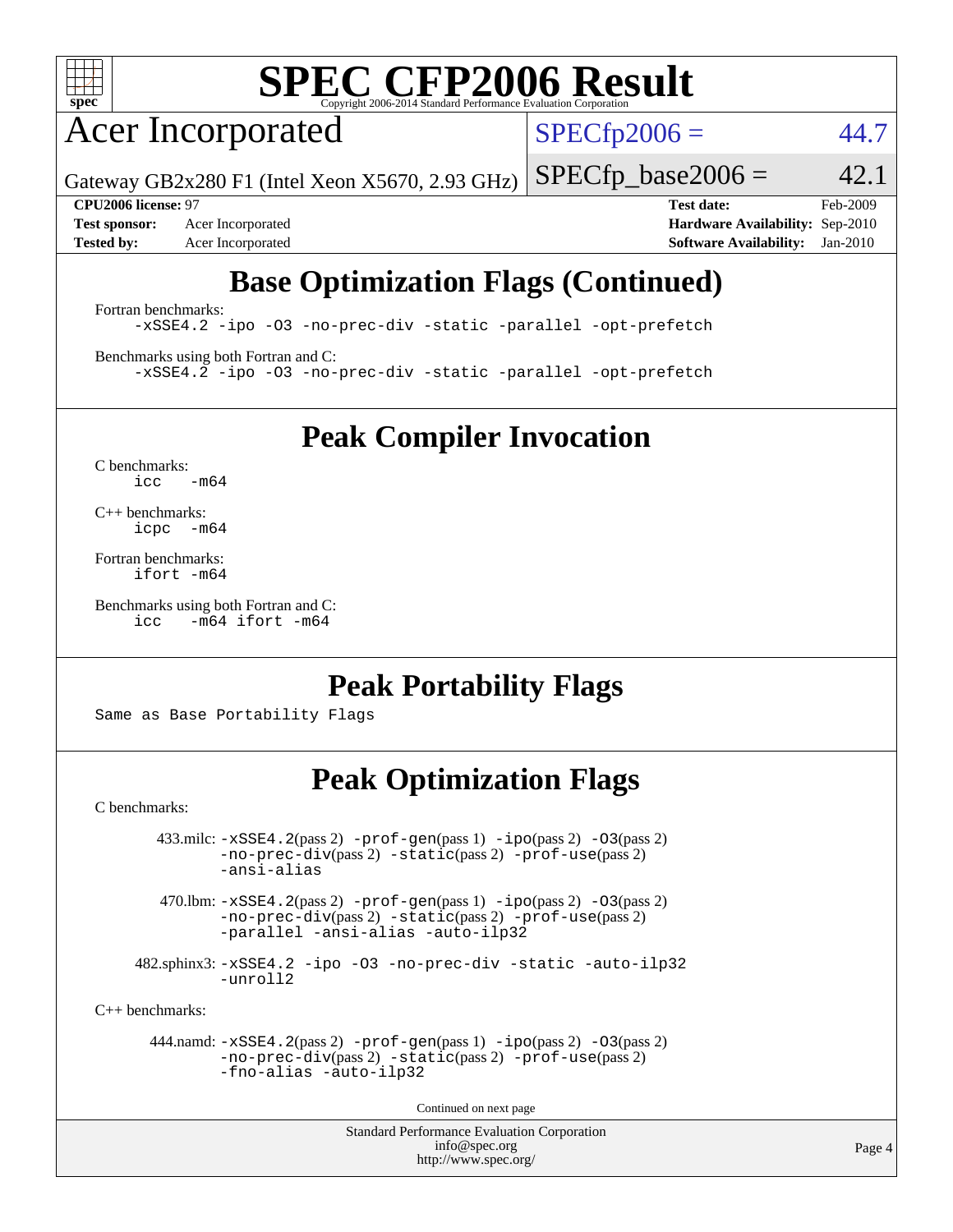

## Acer Incorporated

 $SPECfp2006 = 44.7$  $SPECfp2006 = 44.7$ 

Gateway GB2x280 F1 (Intel Xeon X5670, 2.93 GHz)

**[CPU2006 license:](http://www.spec.org/auto/cpu2006/Docs/result-fields.html#CPU2006license)** 97 **[Test date:](http://www.spec.org/auto/cpu2006/Docs/result-fields.html#Testdate)** Feb-2009 **[Test sponsor:](http://www.spec.org/auto/cpu2006/Docs/result-fields.html#Testsponsor)** Acer Incorporated **[Hardware Availability:](http://www.spec.org/auto/cpu2006/Docs/result-fields.html#HardwareAvailability)** Sep-2010 **[Tested by:](http://www.spec.org/auto/cpu2006/Docs/result-fields.html#Testedby)** Acer Incorporated **[Software Availability:](http://www.spec.org/auto/cpu2006/Docs/result-fields.html#SoftwareAvailability)** Jan-2010

 $SPECTp\_base2006 = 42.1$ 

## **[Base Optimization Flags \(Continued\)](http://www.spec.org/auto/cpu2006/Docs/result-fields.html#BaseOptimizationFlags)**

[Fortran benchmarks](http://www.spec.org/auto/cpu2006/Docs/result-fields.html#Fortranbenchmarks):

[-xSSE4.2](http://www.spec.org/cpu2006/results/res2010q3/cpu2006-20100715-12382.flags.html#user_FCbase_f-xSSE42_f91528193cf0b216347adb8b939d4107) [-ipo](http://www.spec.org/cpu2006/results/res2010q3/cpu2006-20100715-12382.flags.html#user_FCbase_f-ipo) [-O3](http://www.spec.org/cpu2006/results/res2010q3/cpu2006-20100715-12382.flags.html#user_FCbase_f-O3) [-no-prec-div](http://www.spec.org/cpu2006/results/res2010q3/cpu2006-20100715-12382.flags.html#user_FCbase_f-no-prec-div) [-static](http://www.spec.org/cpu2006/results/res2010q3/cpu2006-20100715-12382.flags.html#user_FCbase_f-static) [-parallel](http://www.spec.org/cpu2006/results/res2010q3/cpu2006-20100715-12382.flags.html#user_FCbase_f-parallel) [-opt-prefetch](http://www.spec.org/cpu2006/results/res2010q3/cpu2006-20100715-12382.flags.html#user_FCbase_f-opt-prefetch)

[Benchmarks using both Fortran and C](http://www.spec.org/auto/cpu2006/Docs/result-fields.html#BenchmarksusingbothFortranandC): [-xSSE4.2](http://www.spec.org/cpu2006/results/res2010q3/cpu2006-20100715-12382.flags.html#user_CC_FCbase_f-xSSE42_f91528193cf0b216347adb8b939d4107) [-ipo](http://www.spec.org/cpu2006/results/res2010q3/cpu2006-20100715-12382.flags.html#user_CC_FCbase_f-ipo) [-O3](http://www.spec.org/cpu2006/results/res2010q3/cpu2006-20100715-12382.flags.html#user_CC_FCbase_f-O3) [-no-prec-div](http://www.spec.org/cpu2006/results/res2010q3/cpu2006-20100715-12382.flags.html#user_CC_FCbase_f-no-prec-div) [-static](http://www.spec.org/cpu2006/results/res2010q3/cpu2006-20100715-12382.flags.html#user_CC_FCbase_f-static) [-parallel](http://www.spec.org/cpu2006/results/res2010q3/cpu2006-20100715-12382.flags.html#user_CC_FCbase_f-parallel) [-opt-prefetch](http://www.spec.org/cpu2006/results/res2010q3/cpu2006-20100715-12382.flags.html#user_CC_FCbase_f-opt-prefetch)

**[Peak Compiler Invocation](http://www.spec.org/auto/cpu2006/Docs/result-fields.html#PeakCompilerInvocation)**

[C benchmarks](http://www.spec.org/auto/cpu2006/Docs/result-fields.html#Cbenchmarks):  $icc$   $-m64$ 

[C++ benchmarks:](http://www.spec.org/auto/cpu2006/Docs/result-fields.html#CXXbenchmarks) [icpc -m64](http://www.spec.org/cpu2006/results/res2010q3/cpu2006-20100715-12382.flags.html#user_CXXpeak_intel_icpc_64bit_bedb90c1146cab66620883ef4f41a67e)

[Fortran benchmarks](http://www.spec.org/auto/cpu2006/Docs/result-fields.html#Fortranbenchmarks): [ifort -m64](http://www.spec.org/cpu2006/results/res2010q3/cpu2006-20100715-12382.flags.html#user_FCpeak_intel_ifort_64bit_ee9d0fb25645d0210d97eb0527dcc06e)

[Benchmarks using both Fortran and C](http://www.spec.org/auto/cpu2006/Docs/result-fields.html#BenchmarksusingbothFortranandC): [icc -m64](http://www.spec.org/cpu2006/results/res2010q3/cpu2006-20100715-12382.flags.html#user_CC_FCpeak_intel_icc_64bit_0b7121f5ab7cfabee23d88897260401c) [ifort -m64](http://www.spec.org/cpu2006/results/res2010q3/cpu2006-20100715-12382.flags.html#user_CC_FCpeak_intel_ifort_64bit_ee9d0fb25645d0210d97eb0527dcc06e)

### **[Peak Portability Flags](http://www.spec.org/auto/cpu2006/Docs/result-fields.html#PeakPortabilityFlags)**

Same as Base Portability Flags

### **[Peak Optimization Flags](http://www.spec.org/auto/cpu2006/Docs/result-fields.html#PeakOptimizationFlags)**

[C benchmarks](http://www.spec.org/auto/cpu2006/Docs/result-fields.html#Cbenchmarks):

 $433.\text{mile: } -x\text{SSE4}.2(\text{pass 2}) -\text{prof-gen}(\text{pass 1}) - \text{ipo}(\text{pass 2}) -\text{O3}(\text{pass 2})$ [-no-prec-div](http://www.spec.org/cpu2006/results/res2010q3/cpu2006-20100715-12382.flags.html#user_peakPASS2_CFLAGSPASS2_LDFLAGS433_milc_f-no-prec-div)(pass 2) [-static](http://www.spec.org/cpu2006/results/res2010q3/cpu2006-20100715-12382.flags.html#user_peakPASS2_CFLAGSPASS2_LDFLAGS433_milc_f-static)(pass 2) [-prof-use](http://www.spec.org/cpu2006/results/res2010q3/cpu2006-20100715-12382.flags.html#user_peakPASS2_CFLAGSPASS2_LDFLAGS433_milc_prof_use_bccf7792157ff70d64e32fe3e1250b55)(pass 2) [-ansi-alias](http://www.spec.org/cpu2006/results/res2010q3/cpu2006-20100715-12382.flags.html#user_peakOPTIMIZE433_milc_f-ansi-alias)

470.lbm:  $-xSSE4$ . 2(pass 2)  $-prof-gen(pass 1) -ipo(pass 2) -O3(pass 2)$  $-prof-gen(pass 1) -ipo(pass 2) -O3(pass 2)$  $-prof-gen(pass 1) -ipo(pass 2) -O3(pass 2)$  $-prof-gen(pass 1) -ipo(pass 2) -O3(pass 2)$  $-prof-gen(pass 1) -ipo(pass 2) -O3(pass 2)$  $-prof-gen(pass 1) -ipo(pass 2) -O3(pass 2)$ [-no-prec-div](http://www.spec.org/cpu2006/results/res2010q3/cpu2006-20100715-12382.flags.html#user_peakPASS2_CFLAGSPASS2_LDFLAGS470_lbm_f-no-prec-div)(pass 2) [-static](http://www.spec.org/cpu2006/results/res2010q3/cpu2006-20100715-12382.flags.html#user_peakPASS2_CFLAGSPASS2_LDFLAGS470_lbm_f-static)(pass 2) [-prof-use](http://www.spec.org/cpu2006/results/res2010q3/cpu2006-20100715-12382.flags.html#user_peakPASS2_CFLAGSPASS2_LDFLAGS470_lbm_prof_use_bccf7792157ff70d64e32fe3e1250b55)(pass 2) [-parallel](http://www.spec.org/cpu2006/results/res2010q3/cpu2006-20100715-12382.flags.html#user_peakOPTIMIZE470_lbm_f-parallel) [-ansi-alias](http://www.spec.org/cpu2006/results/res2010q3/cpu2006-20100715-12382.flags.html#user_peakOPTIMIZE470_lbm_f-ansi-alias) [-auto-ilp32](http://www.spec.org/cpu2006/results/res2010q3/cpu2006-20100715-12382.flags.html#user_peakCOPTIMIZE470_lbm_f-auto-ilp32)

 482.sphinx3: [-xSSE4.2](http://www.spec.org/cpu2006/results/res2010q3/cpu2006-20100715-12382.flags.html#user_peakOPTIMIZE482_sphinx3_f-xSSE42_f91528193cf0b216347adb8b939d4107) [-ipo](http://www.spec.org/cpu2006/results/res2010q3/cpu2006-20100715-12382.flags.html#user_peakOPTIMIZE482_sphinx3_f-ipo) [-O3](http://www.spec.org/cpu2006/results/res2010q3/cpu2006-20100715-12382.flags.html#user_peakOPTIMIZE482_sphinx3_f-O3) [-no-prec-div](http://www.spec.org/cpu2006/results/res2010q3/cpu2006-20100715-12382.flags.html#user_peakOPTIMIZE482_sphinx3_f-no-prec-div) [-static](http://www.spec.org/cpu2006/results/res2010q3/cpu2006-20100715-12382.flags.html#user_peakOPTIMIZE482_sphinx3_f-static) [-auto-ilp32](http://www.spec.org/cpu2006/results/res2010q3/cpu2006-20100715-12382.flags.html#user_peakCOPTIMIZE482_sphinx3_f-auto-ilp32) [-unroll2](http://www.spec.org/cpu2006/results/res2010q3/cpu2006-20100715-12382.flags.html#user_peakCOPTIMIZE482_sphinx3_f-unroll_784dae83bebfb236979b41d2422d7ec2)

[C++ benchmarks:](http://www.spec.org/auto/cpu2006/Docs/result-fields.html#CXXbenchmarks)

 444.namd: [-xSSE4.2](http://www.spec.org/cpu2006/results/res2010q3/cpu2006-20100715-12382.flags.html#user_peakPASS2_CXXFLAGSPASS2_LDFLAGS444_namd_f-xSSE42_f91528193cf0b216347adb8b939d4107)(pass 2) [-prof-gen](http://www.spec.org/cpu2006/results/res2010q3/cpu2006-20100715-12382.flags.html#user_peakPASS1_CXXFLAGSPASS1_LDFLAGS444_namd_prof_gen_e43856698f6ca7b7e442dfd80e94a8fc)(pass 1) [-ipo](http://www.spec.org/cpu2006/results/res2010q3/cpu2006-20100715-12382.flags.html#user_peakPASS2_CXXFLAGSPASS2_LDFLAGS444_namd_f-ipo)(pass 2) [-O3](http://www.spec.org/cpu2006/results/res2010q3/cpu2006-20100715-12382.flags.html#user_peakPASS2_CXXFLAGSPASS2_LDFLAGS444_namd_f-O3)(pass 2) [-no-prec-div](http://www.spec.org/cpu2006/results/res2010q3/cpu2006-20100715-12382.flags.html#user_peakPASS2_CXXFLAGSPASS2_LDFLAGS444_namd_f-no-prec-div)(pass 2) [-static](http://www.spec.org/cpu2006/results/res2010q3/cpu2006-20100715-12382.flags.html#user_peakPASS2_CXXFLAGSPASS2_LDFLAGS444_namd_f-static)(pass 2) [-prof-use](http://www.spec.org/cpu2006/results/res2010q3/cpu2006-20100715-12382.flags.html#user_peakPASS2_CXXFLAGSPASS2_LDFLAGS444_namd_prof_use_bccf7792157ff70d64e32fe3e1250b55)(pass 2) [-fno-alias](http://www.spec.org/cpu2006/results/res2010q3/cpu2006-20100715-12382.flags.html#user_peakOPTIMIZE444_namd_f-no-alias_694e77f6c5a51e658e82ccff53a9e63a) [-auto-ilp32](http://www.spec.org/cpu2006/results/res2010q3/cpu2006-20100715-12382.flags.html#user_peakCXXOPTIMIZE444_namd_f-auto-ilp32)

Continued on next page

Standard Performance Evaluation Corporation [info@spec.org](mailto:info@spec.org) <http://www.spec.org/>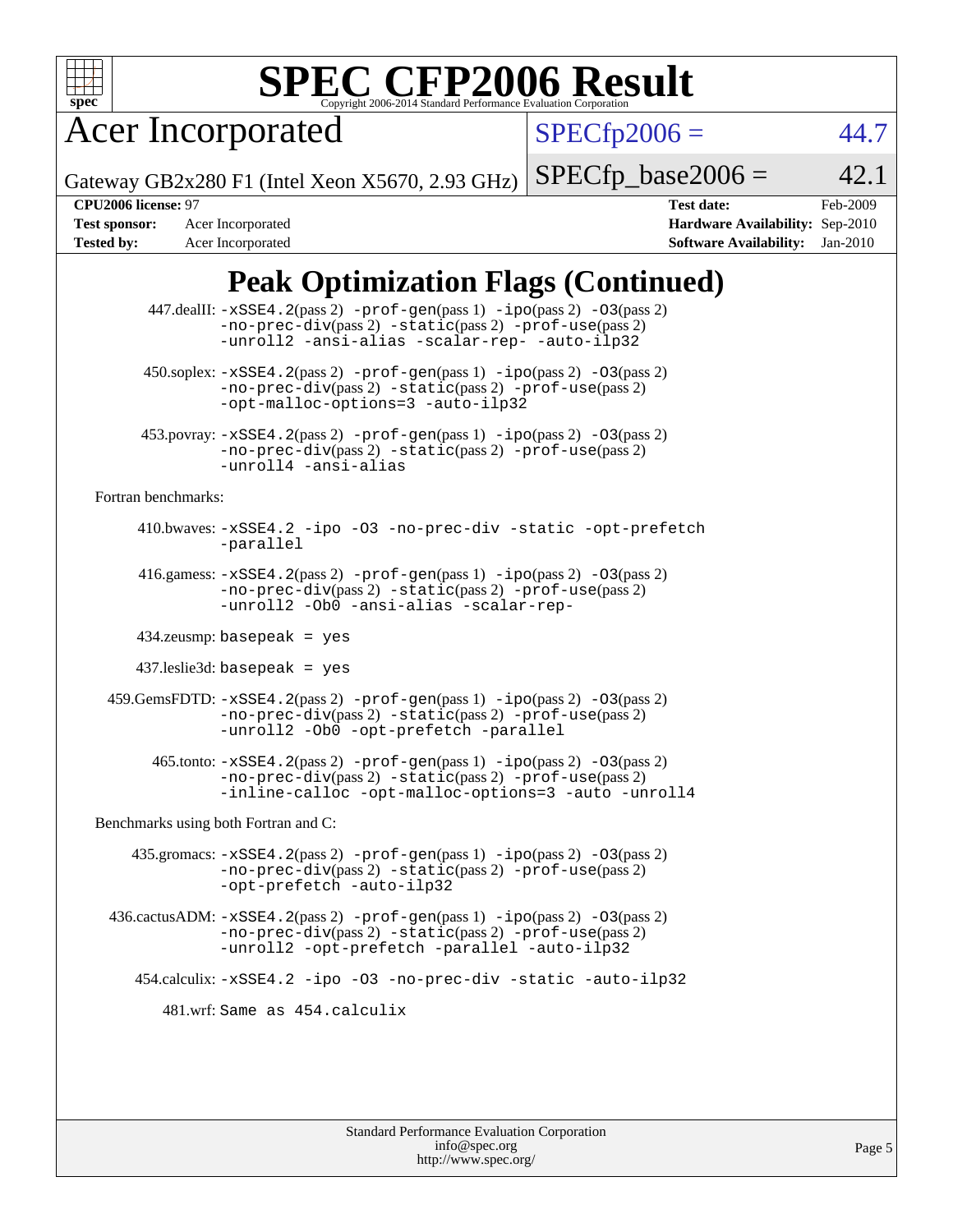

Acer Incorporated

 $SPECfp2006 = 44.7$  $SPECfp2006 = 44.7$ 

Gateway GB2x280 F1 (Intel Xeon X5670, 2.93 GHz)

**[Tested by:](http://www.spec.org/auto/cpu2006/Docs/result-fields.html#Testedby)** Acer Incorporated **[Software Availability:](http://www.spec.org/auto/cpu2006/Docs/result-fields.html#SoftwareAvailability)** Jan-2010

**[CPU2006 license:](http://www.spec.org/auto/cpu2006/Docs/result-fields.html#CPU2006license)** 97 **[Test date:](http://www.spec.org/auto/cpu2006/Docs/result-fields.html#Testdate)** Feb-2009 **[Test sponsor:](http://www.spec.org/auto/cpu2006/Docs/result-fields.html#Testsponsor)** Acer Incorporated **[Hardware Availability:](http://www.spec.org/auto/cpu2006/Docs/result-fields.html#HardwareAvailability)** Sep-2010

 $SPECTp\_base2006 = 42.1$ 

## **[Peak Optimization Flags \(Continued\)](http://www.spec.org/auto/cpu2006/Docs/result-fields.html#PeakOptimizationFlags)**

|                                      | 447.dealII: -xSSE4.2(pass 2) -prof-gen(pass 1) -ipo(pass 2) -03(pass 2)<br>$-no-prec-div(pass 2) -static(pass 2) -prot-use(pass 2)$<br>-unroll2 -ansi-alias -scalar-rep- -auto-ilp32                                                 |  |  |  |  |  |  |
|--------------------------------------|--------------------------------------------------------------------------------------------------------------------------------------------------------------------------------------------------------------------------------------|--|--|--|--|--|--|
|                                      | $450.\text{soplex: } -x\text{SSE4}.2(\text{pass 2}) - \text{prof-gen}(\text{pass 1}) - \text{ipo}(\text{pass 2}) - 03(\text{pass 2})$<br>-no-prec-div(pass 2) -static(pass 2) -prof-use(pass 2)<br>-opt-malloc-options=3 -auto-ilp32 |  |  |  |  |  |  |
|                                      | 453.povray: -xSSE4.2(pass 2) -prof-gen(pass 1) -ipo(pass 2) -03(pass 2)<br>-no-prec-div(pass 2) -static(pass 2) -prof-use(pass 2)<br>-unroll4 -ansi-alias                                                                            |  |  |  |  |  |  |
| Fortran benchmarks:                  |                                                                                                                                                                                                                                      |  |  |  |  |  |  |
|                                      | 410.bwaves: -xSSE4.2 -ipo -03 -no-prec-div -static -opt-prefetch<br>-parallel                                                                                                                                                        |  |  |  |  |  |  |
|                                      | 416.gamess: $-xSSE4$ . $2(pass 2)$ -prof-gen(pass 1) -ipo(pass 2) -03(pass 2)<br>-no-prec-div(pass 2) -static(pass 2) -prof-use(pass 2)<br>-unroll2 -Ob0 -ansi-alias -scalar-rep-                                                    |  |  |  |  |  |  |
|                                      | $434$ .zeusmp: basepeak = yes                                                                                                                                                                                                        |  |  |  |  |  |  |
|                                      | $437$ .leslie3d: basepeak = yes                                                                                                                                                                                                      |  |  |  |  |  |  |
|                                      | 459.GemsFDTD: -xSSE4.2(pass 2) -prof-gen(pass 1) -ipo(pass 2) -03(pass 2)<br>-no-prec-div(pass 2) -static(pass 2) -prof-use(pass 2)<br>-unroll2 -Ob0 -opt-prefetch -parallel                                                         |  |  |  |  |  |  |
|                                      | $465$ .tonto: $-xSSE4$ . $2(pass 2)$ -prof-gen(pass 1) -ipo(pass 2) -03(pass 2)<br>-no-prec-div(pass 2) -static(pass 2) -prof-use(pass 2)<br>-inline-calloc -opt-malloc-options=3 -auto -unroll4                                     |  |  |  |  |  |  |
| Benchmarks using both Fortran and C: |                                                                                                                                                                                                                                      |  |  |  |  |  |  |
|                                      | 435.gromacs: $-xSSE4$ . 2(pass 2) $-prof$ -gen(pass 1) $-ipo$ (pass 2) $-O3$ (pass 2)<br>-no-prec-div(pass 2) -static(pass 2) -prof-use(pass 2)<br>-opt-prefetch -auto-ilp32                                                         |  |  |  |  |  |  |
|                                      | $436.cactusADM: -xSSE4.2(pass 2) -prof-gen(pass 1) -ipo(pass 2) -O3(pass 2)$<br>-no-prec-div(pass 2) -static(pass 2) -prof-use(pass 2)<br>-unroll2 -opt-prefetch -parallel -auto-ilp32                                               |  |  |  |  |  |  |
|                                      | 454.calculix: -xSSE4.2 -ipo -03 -no-prec-div -static -auto-ilp32                                                                                                                                                                     |  |  |  |  |  |  |
|                                      | 481.wrf: Same as 454.calculix                                                                                                                                                                                                        |  |  |  |  |  |  |
|                                      |                                                                                                                                                                                                                                      |  |  |  |  |  |  |
|                                      |                                                                                                                                                                                                                                      |  |  |  |  |  |  |